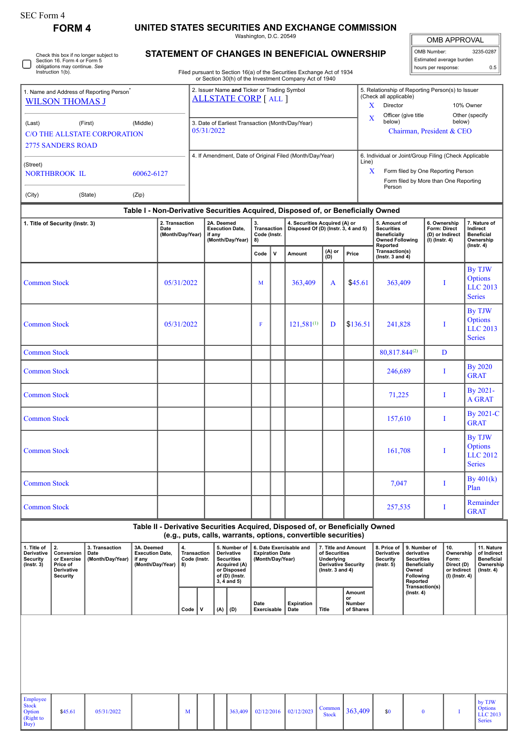|                                                                                                                              | <b>FORM 4</b>                                                                                                              |            |                                                                                                                                                                                  |                                            |                                                                   |                                                                |     |                                                                                                                     |   | Washington, D.C. 20549                  |                                            | UNITED STATES SECURITIES AND EXCHANGE COMMISSION                                                                                                |                                                                                                          |          |                                                                                             |                                                                                                                                      |                                                                                                          |                                                                          |                                                       |                                                                                 |
|------------------------------------------------------------------------------------------------------------------------------|----------------------------------------------------------------------------------------------------------------------------|------------|----------------------------------------------------------------------------------------------------------------------------------------------------------------------------------|--------------------------------------------|-------------------------------------------------------------------|----------------------------------------------------------------|-----|---------------------------------------------------------------------------------------------------------------------|---|-----------------------------------------|--------------------------------------------|-------------------------------------------------------------------------------------------------------------------------------------------------|----------------------------------------------------------------------------------------------------------|----------|---------------------------------------------------------------------------------------------|--------------------------------------------------------------------------------------------------------------------------------------|----------------------------------------------------------------------------------------------------------|--------------------------------------------------------------------------|-------------------------------------------------------|---------------------------------------------------------------------------------|
|                                                                                                                              |                                                                                                                            |            |                                                                                                                                                                                  |                                            |                                                                   |                                                                |     |                                                                                                                     |   |                                         |                                            |                                                                                                                                                 |                                                                                                          |          |                                                                                             |                                                                                                                                      |                                                                                                          | OMB Number:                                                              | <b>OMB APPROVAL</b>                                   | 3235-0287                                                                       |
| Check this box if no longer subject to<br>Section 16. Form 4 or Form 5<br>obligations may continue. See<br>Instruction 1(b). |                                                                                                                            |            | STATEMENT OF CHANGES IN BENEFICIAL OWNERSHIP<br>Filed pursuant to Section 16(a) of the Securities Exchange Act of 1934<br>or Section 30(h) of the Investment Company Act of 1940 |                                            |                                                                   |                                                                |     |                                                                                                                     |   |                                         |                                            |                                                                                                                                                 |                                                                                                          |          |                                                                                             |                                                                                                                                      | Estimated average burden<br>hours per response:                                                          |                                                                          | 0.5                                                   |                                                                                 |
| 1. Name and Address of Reporting Person                                                                                      |                                                                                                                            |            |                                                                                                                                                                                  |                                            |                                                                   | 2. Issuer Name and Ticker or Trading Symbol                    |     |                                                                                                                     |   |                                         |                                            |                                                                                                                                                 |                                                                                                          |          |                                                                                             |                                                                                                                                      | 5. Relationship of Reporting Person(s) to Issuer                                                         |                                                                          |                                                       |                                                                                 |
| <b>WILSON THOMAS J</b>                                                                                                       |                                                                                                                            |            |                                                                                                                                                                                  |                                            | <b>ALLSTATE CORP</b> [ALL ]                                       |                                                                |     |                                                                                                                     |   |                                         |                                            |                                                                                                                                                 |                                                                                                          |          |                                                                                             | (Check all applicable)<br>X<br>Director<br>10% Owner                                                                                 |                                                                                                          |                                                                          |                                                       |                                                                                 |
| (Last)<br>(First)<br>(Middle)<br>C/O THE ALLSTATE CORPORATION<br><b>2775 SANDERS ROAD</b>                                    |                                                                                                                            |            |                                                                                                                                                                                  |                                            |                                                                   | 3. Date of Earliest Transaction (Month/Day/Year)<br>05/31/2022 |     |                                                                                                                     |   |                                         |                                            |                                                                                                                                                 |                                                                                                          |          | Other (specify<br>Officer (give title<br>X<br>below)<br>below)<br>Chairman, President & CEO |                                                                                                                                      |                                                                                                          |                                                                          |                                                       |                                                                                 |
| (Street)<br><b>NORTHBROOK IL</b><br>60062-6127                                                                               |                                                                                                                            |            |                                                                                                                                                                                  |                                            | 4. If Amendment, Date of Original Filed (Month/Day/Year)<br>Line) |                                                                |     |                                                                                                                     |   |                                         |                                            |                                                                                                                                                 |                                                                                                          |          | X                                                                                           | 6. Individual or Joint/Group Filing (Check Applicable<br>Form filed by One Reporting Person<br>Form filed by More than One Reporting |                                                                                                          |                                                                          |                                                       |                                                                                 |
| (City)<br>(Zip)<br>(State)                                                                                                   |                                                                                                                            |            |                                                                                                                                                                                  |                                            |                                                                   |                                                                |     |                                                                                                                     |   |                                         |                                            |                                                                                                                                                 |                                                                                                          | Person   |                                                                                             |                                                                                                                                      |                                                                                                          |                                                                          |                                                       |                                                                                 |
|                                                                                                                              |                                                                                                                            |            |                                                                                                                                                                                  |                                            |                                                                   |                                                                |     |                                                                                                                     |   |                                         |                                            |                                                                                                                                                 |                                                                                                          |          |                                                                                             | Table I - Non-Derivative Securities Acquired, Disposed of, or Beneficially Owned                                                     |                                                                                                          |                                                                          |                                                       |                                                                                 |
| 1. Title of Security (Instr. 3)                                                                                              |                                                                                                                            |            |                                                                                                                                                                                  | 2. Transaction<br>Date<br>(Month/Day/Year) |                                                                   |                                                                |     | 2A. Deemed<br><b>Execution Date,</b><br>if any<br>(Month/Day/Year)                                                  |   | 3.<br>Transaction<br>Code (Instr.<br>8) |                                            | 4. Securities Acquired (A) or<br>Disposed Of (D) (Instr. 3, 4 and 5)                                                                            |                                                                                                          |          |                                                                                             | 5. Amount of<br><b>Securities</b><br><b>Beneficially</b><br><b>Owned Following</b>                                                   |                                                                                                          | 6. Ownership<br>Form: Direct<br>$(I)$ (Instr. 4)                         | (D) or Indirect                                       | 7. Nature of<br>Indirect<br><b>Beneficial</b><br>Ownership                      |
|                                                                                                                              |                                                                                                                            |            |                                                                                                                                                                                  |                                            |                                                                   |                                                                |     |                                                                                                                     |   | Code                                    | v                                          | Amount                                                                                                                                          | (A) or<br>(D)                                                                                            |          | Price                                                                                       | Reported<br>Transaction(s)<br>( $lnstr. 3 and 4$ )                                                                                   |                                                                                                          |                                                                          |                                                       | $($ Instr. 4 $)$                                                                |
| <b>Common Stock</b>                                                                                                          |                                                                                                                            |            |                                                                                                                                                                                  | 05/31/2022                                 |                                                                   |                                                                |     |                                                                                                                     | M |                                         | 363,409                                    |                                                                                                                                                 | A                                                                                                        | \$45.61  | 363,409                                                                                     |                                                                                                                                      | I                                                                                                        |                                                                          | By TJW<br><b>Options</b><br>LLC 2013<br><b>Series</b> |                                                                                 |
| <b>Common Stock</b>                                                                                                          |                                                                                                                            |            |                                                                                                                                                                                  | 05/31/2022                                 |                                                                   |                                                                |     |                                                                                                                     | F |                                         | $121,581^{(1)}$                            | D                                                                                                                                               |                                                                                                          | \$136.51 | 241,828                                                                                     |                                                                                                                                      | Ι                                                                                                        |                                                                          | By TJW<br><b>Options</b><br>LLC 2013<br><b>Series</b> |                                                                                 |
| <b>Common Stock</b>                                                                                                          |                                                                                                                            |            |                                                                                                                                                                                  |                                            |                                                                   |                                                                |     |                                                                                                                     |   |                                         |                                            |                                                                                                                                                 |                                                                                                          |          |                                                                                             | 80,817.844(2)                                                                                                                        |                                                                                                          |                                                                          | D                                                     |                                                                                 |
| <b>Common Stock</b>                                                                                                          |                                                                                                                            |            |                                                                                                                                                                                  |                                            |                                                                   |                                                                |     |                                                                                                                     |   |                                         |                                            |                                                                                                                                                 |                                                                                                          |          |                                                                                             | 246,689                                                                                                                              |                                                                                                          |                                                                          | Т                                                     | By 2020<br><b>GRAT</b>                                                          |
| <b>Common Stock</b>                                                                                                          |                                                                                                                            |            |                                                                                                                                                                                  |                                            |                                                                   |                                                                |     |                                                                                                                     |   |                                         |                                            |                                                                                                                                                 |                                                                                                          |          |                                                                                             | 71,225                                                                                                                               |                                                                                                          |                                                                          | Т                                                     | By 2021-<br><b>A GRAT</b>                                                       |
| <b>Common Stock</b>                                                                                                          |                                                                                                                            |            |                                                                                                                                                                                  |                                            |                                                                   |                                                                |     |                                                                                                                     |   |                                         |                                            |                                                                                                                                                 |                                                                                                          |          |                                                                                             | 157,610                                                                                                                              |                                                                                                          |                                                                          | -1                                                    | <b>By 2021-C</b><br><b>GRAT</b>                                                 |
| <b>Common Stock</b>                                                                                                          |                                                                                                                            |            |                                                                                                                                                                                  |                                            |                                                                   |                                                                |     |                                                                                                                     |   |                                         |                                            |                                                                                                                                                 |                                                                                                          |          | 161,708                                                                                     |                                                                                                                                      |                                                                                                          | T                                                                        | By TJW<br><b>Options</b><br>LLC 2012<br><b>Series</b> |                                                                                 |
| <b>Common Stock</b>                                                                                                          |                                                                                                                            |            |                                                                                                                                                                                  |                                            |                                                                   |                                                                |     |                                                                                                                     |   |                                         |                                            |                                                                                                                                                 |                                                                                                          |          |                                                                                             | 7,047                                                                                                                                |                                                                                                          | I                                                                        |                                                       | By $401(k)$<br>Plan                                                             |
| <b>Common Stock</b>                                                                                                          |                                                                                                                            |            |                                                                                                                                                                                  |                                            |                                                                   |                                                                |     |                                                                                                                     |   |                                         |                                            |                                                                                                                                                 |                                                                                                          |          |                                                                                             | 257,535                                                                                                                              |                                                                                                          | I                                                                        |                                                       | Remainder<br><b>GRAT</b>                                                        |
|                                                                                                                              |                                                                                                                            |            |                                                                                                                                                                                  |                                            |                                                                   |                                                                |     |                                                                                                                     |   |                                         |                                            | Table II - Derivative Securities Acquired, Disposed of, or Beneficially Owned<br>(e.g., puts, calls, warrants, options, convertible securities) |                                                                                                          |          |                                                                                             |                                                                                                                                      |                                                                                                          |                                                                          |                                                       |                                                                                 |
| 1. Title of<br>Derivative<br><b>Security</b><br>$($ Instr. 3 $)$                                                             | 2.<br>3. Transaction<br>Conversion<br>Date<br>(Month/Day/Year)<br>or Exercise<br>Price of<br>Derivative<br><b>Security</b> |            | 3A. Deemed<br><b>Execution Date,</b><br>if any<br>(Month/Day/Year)                                                                                                               |                                            | 4.<br>8)                                                          | <b>Transaction</b><br>Code (Instr.                             |     | 5. Number of<br>Derivative<br><b>Securities</b><br>Acquired (A)<br>or Disposed<br>of (D) (Instr.<br>$3, 4$ and $5)$ |   |                                         | <b>Expiration Date</b><br>(Month/Day/Year) | 6. Date Exercisable and                                                                                                                         | 7. Title and Amount<br>of Securities<br>Underlying<br><b>Derivative Security</b><br>( $lnstr. 3 and 4$ ) |          |                                                                                             | 8. Price of<br>Derivative<br><b>Security</b><br>$($ Instr. 5 $)$                                                                     | 9. Number of<br>derivative<br><b>Securities</b><br><b>Beneficially</b><br>Owned<br>Following<br>Reported | 10.<br>Ownership<br>Form:<br>Direct (D)<br>or Indirect<br>(I) (Instr. 4) |                                                       | 11. Nature<br>of Indirect<br><b>Beneficial</b><br>Ownership<br>$($ lnstr. 4 $)$ |
|                                                                                                                              |                                                                                                                            |            |                                                                                                                                                                                  |                                            | Code                                                              | v                                                              | (A) | (D)                                                                                                                 |   | Date<br>Exercisable                     |                                            | <b>Expiration</b><br>Date                                                                                                                       | Title                                                                                                    | or       | Amount<br>Number<br>of Shares                                                               |                                                                                                                                      | Transaction(s)<br>$($ Instr. 4 $)$                                                                       |                                                                          |                                                       |                                                                                 |
|                                                                                                                              |                                                                                                                            |            |                                                                                                                                                                                  |                                            |                                                                   |                                                                |     |                                                                                                                     |   |                                         |                                            |                                                                                                                                                 |                                                                                                          |          |                                                                                             |                                                                                                                                      |                                                                                                          |                                                                          |                                                       |                                                                                 |
| Employee<br><b>Stock</b><br>Option<br>(Right to<br>Buy)                                                                      | \$45.61                                                                                                                    | 05/31/2022 |                                                                                                                                                                                  |                                            | M                                                                 |                                                                |     | 363,409                                                                                                             |   | 02/12/2016                              |                                            | 02/12/2023                                                                                                                                      | Common<br><b>Stock</b>                                                                                   |          | 363,409                                                                                     | \$0                                                                                                                                  |                                                                                                          | $\bf{0}$                                                                 | I                                                     | by TJW<br><b>Options</b><br>LLC 2013<br><b>Series</b>                           |

SEC Form 4